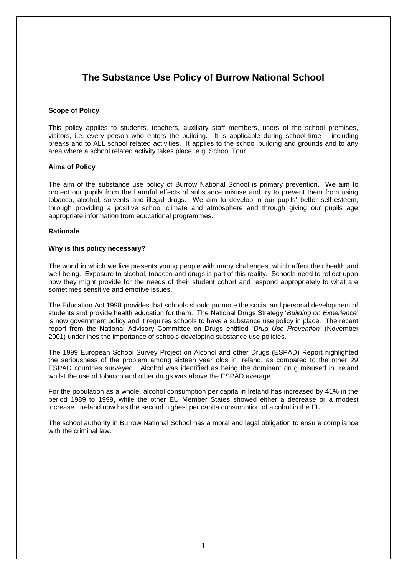## **The Substance Use Policy of Burrow National School**

### **Scope of Policy**

This policy applies to students, teachers, auxiliary staff members, users of the school premises, visitors, i.e. every person who enters the building. It is applicable during school-time – including breaks and to ALL school related activities. It applies to the school building and grounds and to any area where a school related activity takes place, e.g. School Tour.

### **Aims of Policy**

The aim of the substance use policy of Burrow National School is primary prevention. We aim to protect our pupils from the harmful effects of substance misuse and try to prevent them from using tobacco, alcohol, solvents and illegal drugs. We aim to develop in our pupils' better self-esteem, through providing a positive school climate and atmosphere and through giving our pupils age appropriate information from educational programmes.

### **Rationale**

### **Why is this policy necessary?**

The world in which we live presents young people with many challenges, which affect their health and well-being. Exposure to alcohol, tobacco and drugs is part of this reality. Schools need to reflect upon how they might provide for the needs of their student cohort and respond appropriately to what are sometimes sensitive and emotive issues.

The Education Act 1998 provides that schools should promote the social and personal development of students and provide health education for them. The National Drugs Strategy '*Building on Experience*' is now government policy and it requires schools to have a substance use policy in place. The recent report from the National Advisory Committee on Drugs entitled '*Drug Use Prevention'* (November 2001) underlines the importance of schools developing substance use policies.

The 1999 European School Survey Project on Alcohol and other Drugs (ESPAD) Report highlighted the seriousness of the problem among sixteen year olds in Ireland, as compared to the other 29 ESPAD countries surveyed. Alcohol was identified as being the dominant drug misused in Ireland whilst the use of tobacco and other drugs was above the ESPAD average.

For the population as a whole, alcohol consumption per capita in Ireland has increased by 41% in the period 1989 to 1999, while the other EU Member States showed either a decrease or a modest increase. Ireland now has the second highest per capita consumption of alcohol in the EU.

The school authority in Burrow National School has a moral and legal obligation to ensure compliance with the criminal law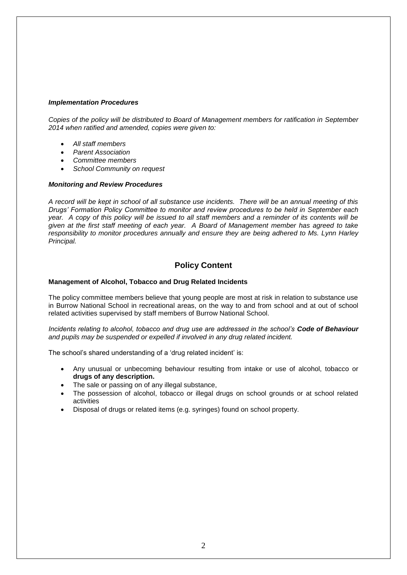### *Implementation Procedures*

*Copies of the policy will be distributed to Board of Management members for ratification in September 2014 when ratified and amended, copies were given to:* 

- *All staff members*
- *Parent Association*
- *Committee members*
- *School Community on request*

### *Monitoring and Review Procedures*

*A record will be kept in school of all substance use incidents. There will be an annual meeting of this Drugs' Formation Policy Committee to monitor and review procedures to be held in September each year. A copy of this policy will be issued to all staff members and a reminder of its contents will be given at the first staff meeting of each year. A Board of Management member has agreed to take responsibility to monitor procedures annually and ensure they are being adhered to Ms. Lynn Harley Principal.*

### **Policy Content**

### **Management of Alcohol, Tobacco and Drug Related Incidents**

The policy committee members believe that young people are most at risk in relation to substance use in Burrow National School in recreational areas, on the way to and from school and at out of school related activities supervised by staff members of Burrow National School.

*Incidents relating to alcohol, tobacco and drug use are addressed in the school's Code of Behaviour and pupils may be suspended or expelled if involved in any drug related incident.*

The school's shared understanding of a 'drug related incident' is:

- Any unusual or unbecoming behaviour resulting from intake or use of alcohol, tobacco or **drugs of any description.**
- The sale or passing on of any illegal substance,
- The possession of alcohol, tobacco or illegal drugs on school grounds or at school related activities
- Disposal of drugs or related items (e.g. syringes) found on school property.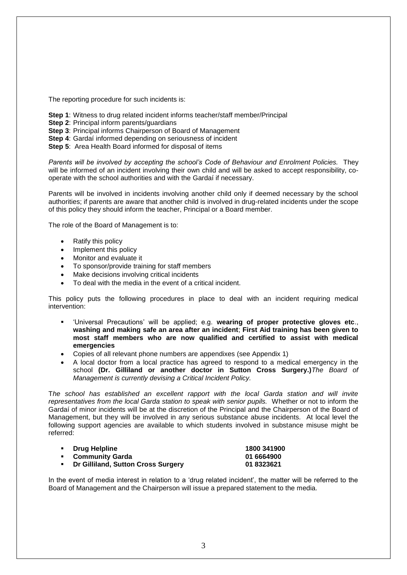The reporting procedure for such incidents is:

- **Step 1:** Witness to drug related incident informs teacher/staff member/Principal
- **Step 2**: Principal inform parents/guardians
- **Step 3**: Principal informs Chairperson of Board of Management
- **Step 4**: Gardaí informed depending on seriousness of incident
- **Step 5**: Area Health Board informed for disposal of items

*Parents will be involved by accepting the school's Code of Behaviour and Enrolment Policies.* They will be informed of an incident involving their own child and will be asked to accept responsibility, cooperate with the school authorities and with the Gardaí if necessary.

Parents will be involved in incidents involving another child only if deemed necessary by the school authorities; if parents are aware that another child is involved in drug-related incidents under the scope of this policy they should inform the teacher, Principal or a Board member.

The role of the Board of Management is to:

- Ratify this policy
- Implement this policy
- Monitor and evaluate it
- To sponsor/provide training for staff members
- Make decisions involving critical incidents
- To deal with the media in the event of a critical incident.

This policy puts the following procedures in place to deal with an incident requiring medical intervention:

- 'Universal Precautions' will be applied; e.g. **wearing of proper protective gloves etc**., **washing and making safe an area after an incident**; **First Aid training has been given to most staff members who are now qualified and certified to assist with medical emergencies**
- Copies of all relevant phone numbers are appendixes (see Appendix 1)
- A local doctor from a local practice has agreed to respond to a medical emergency in the school **(Dr. Gilliland or another doctor in Sutton Cross Surgery.)***The Board of Management is currently devising a Critical Incident Policy.*

T*he school has established an excellent rapport with the local Garda station and will invite representatives from the local Garda station to speak with senior pupils.* Whether or not to inform the Gardaí of minor incidents will be at the discretion of the Principal and the Chairperson of the Board of Management, but they will be involved in any serious substance abuse incidents. At local level the following support agencies are available to which students involved in substance misuse might be referred:

| ■ Drug Helpline                      | 1800 341900 |
|--------------------------------------|-------------|
| • Community Garda                    | 01 6664900  |
| • Dr Gilliland, Sutton Cross Surgery | 01 8323621  |

In the event of media interest in relation to a 'drug related incident', the matter will be referred to the Board of Management and the Chairperson will issue a prepared statement to the media.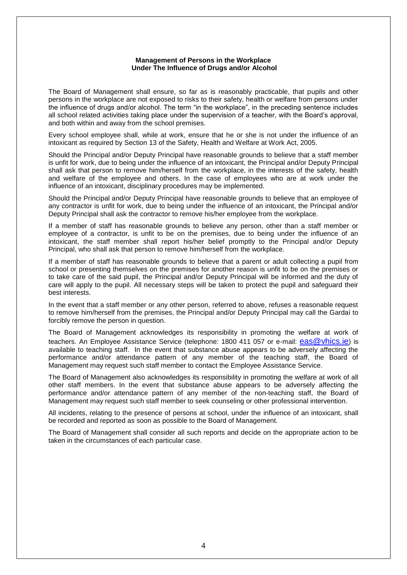#### **Management of Persons in the Workplace Under The Influence of Drugs and/or Alcohol**

The Board of Management shall ensure, so far as is reasonably practicable, that pupils and other persons in the workplace are not exposed to risks to their safety, health or welfare from persons under the influence of drugs and/or alcohol. The term "in the workplace", in the preceding sentence includes all school related activities taking place under the supervision of a teacher, with the Board's approval, and both within and away from the school premises.

Every school employee shall, while at work, ensure that he or she is not under the influence of an intoxicant as required by Section 13 of the Safety, Health and Welfare at Work Act, 2005.

Should the Principal and/or Deputy Principal have reasonable grounds to believe that a staff member is unfit for work, due to being under the influence of an intoxicant, the Principal and/or Deputy Principal shall ask that person to remove him/herself from the workplace, in the interests of the safety, health and welfare of the employee and others. In the case of employees who are at work under the influence of an intoxicant, disciplinary procedures may be implemented.

Should the Principal and/or Deputy Principal have reasonable grounds to believe that an employee of any contractor is unfit for work, due to being under the influence of an intoxicant, the Principal and/or Deputy Principal shall ask the contractor to remove his/her employee from the workplace.

If a member of staff has reasonable grounds to believe any person, other than a staff member or employee of a contractor, is unfit to be on the premises, due to being under the influence of an intoxicant, the staff member shall report his/her belief promptly to the Principal and/or Deputy Principal, who shall ask that person to remove him/herself from the workplace.

If a member of staff has reasonable grounds to believe that a parent or adult collecting a pupil from school or presenting themselves on the premises for another reason is unfit to be on the premises or to take care of the said pupil, the Principal and/or Deputy Principal will be informed and the duty of care will apply to the pupil. All necessary steps will be taken to protect the pupil and safeguard their best interests.

In the event that a staff member or any other person, referred to above, refuses a reasonable request to remove him/herself from the premises, the Principal and/or Deputy Principal may call the Gardaí to forcibly remove the person in question.

The Board of Management acknowledges its responsibility in promoting the welfare at work of teachers. An Employee Assistance Service (telephone: 1800 411 057 or e-mail: [eas@vhics.ie](mailto:eas@vhics.ie)) is available to teaching staff. In the event that substance abuse appears to be adversely affecting the performance and/or attendance pattern of any member of the teaching staff, the Board of Management may request such staff member to contact the Employee Assistance Service.

The Board of Management also acknowledges its responsibility in promoting the welfare at work of all other staff members. In the event that substance abuse appears to be adversely affecting the performance and/or attendance pattern of any member of the non-teaching staff, the Board of Management may request such staff member to seek counseling or other professional intervention.

All incidents, relating to the presence of persons at school, under the influence of an intoxicant, shall be recorded and reported as soon as possible to the Board of Management.

The Board of Management shall consider all such reports and decide on the appropriate action to be taken in the circumstances of each particular case.